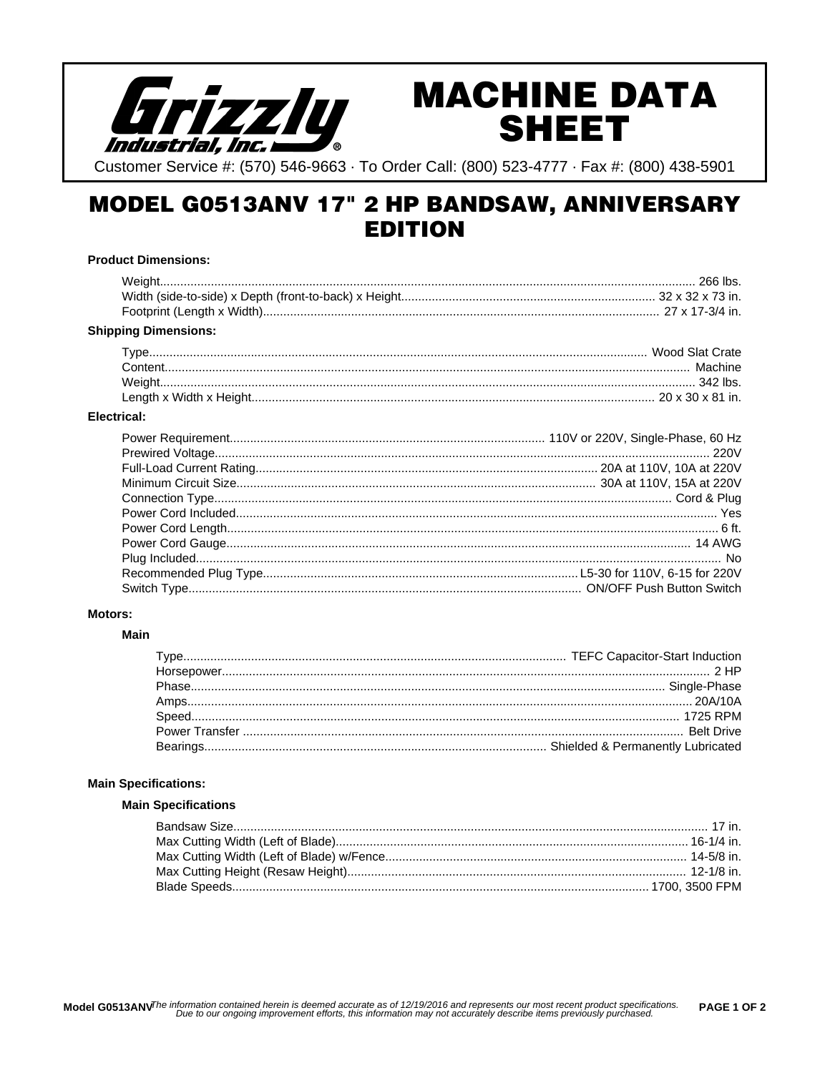

# **MACHINE DATA SHEET**

Customer Service #: (570) 546-9663 · To Order Call: (800) 523-4777 · Fax #: (800) 438-5901

# **MODEL G0513ANV 17" 2 HP BANDSAW, ANNIVERSARY EDITION**

### **Product Dimensions:**

| <b>Shipping Dimensions:</b> |  |
|-----------------------------|--|
|                             |  |
|                             |  |
|                             |  |
|                             |  |

### Electrical:

### **Motors:**

### **Main**

### **Main Specifications:**

# **Main Specifications**